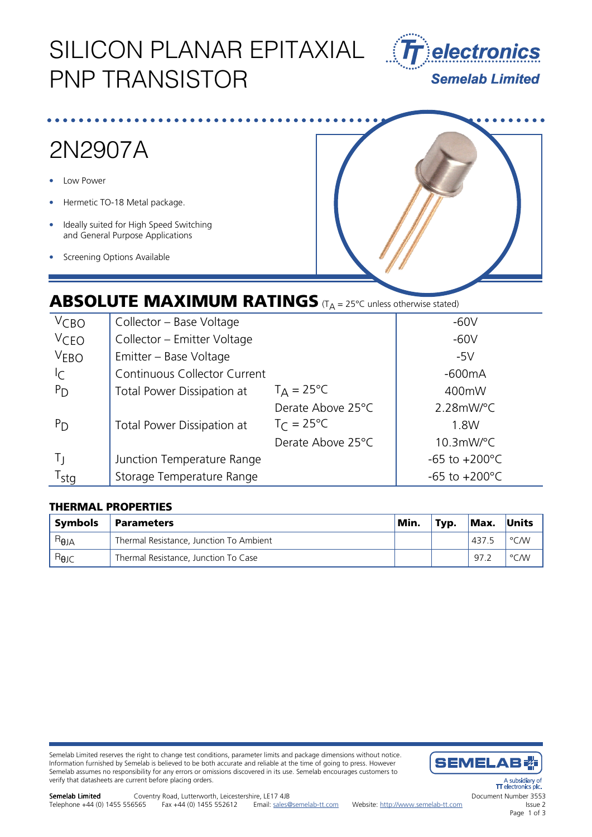# SILICON PLANAR EPITAXIAL PNP TRANSISTOR



# 2N2907A

- Low Power
- Hermetic TO-18 Metal package.
- Ideally suited for High Speed Switching and General Purpose Applications
- Screening Options Available



### **ABSOLUTE MAXIMUM RATINGS** (T<sub>A</sub> = 25°C unless otherwise stated)

| $V$ CBO          | Collector - Base Voltage     | $-60V$              |                           |  |
|------------------|------------------------------|---------------------|---------------------------|--|
| <b>VCEO</b>      | Collector - Emitter Voltage  | $-60V$              |                           |  |
| V <sub>EBO</sub> | Emitter - Base Voltage       | $-5V$               |                           |  |
| C                | Continuous Collector Current | $-600mA$            |                           |  |
| $P_{D}$          | Total Power Dissipation at   | $T_A = 25^{\circ}C$ | 400mW                     |  |
|                  |                              | Derate Above 25°C   | $2.28$ mW/°C              |  |
| $P_{D}$          | Total Power Dissipation at   | $T_C = 25^{\circ}C$ | 1.8W                      |  |
|                  |                              | Derate Above 25°C   | $10.3$ mW/°C              |  |
| Tι               | Junction Temperature Range   |                     | $-65$ to $+200^{\circ}$ C |  |
| T <sub>stg</sub> | Storage Temperature Range    |                     | -65 to $+200^{\circ}$ C   |  |

### THERMAL PROPERTIES

| <b>Symbols</b> | Parameters                              | Min. | Typ. | Max.  | Units |
|----------------|-----------------------------------------|------|------|-------|-------|
| $R_{\theta$ JA | Thermal Resistance, Junction To Ambient |      |      | 437.5 | °C/W  |
| $B_{\theta$ JC | Thermal Resistance, Junction To Case    |      |      | 97.2  | °C/W  |

Semelab Limited reserves the right to change test conditions, parameter limits and package dimensions without notice. Information furnished by Semelab is believed to be both accurate and reliable at the time of going to press. However Semelab assumes no responsibility for any errors or omissions discovered in its use. Semelab encourages customers to verify that datasheets are current before placing orders.

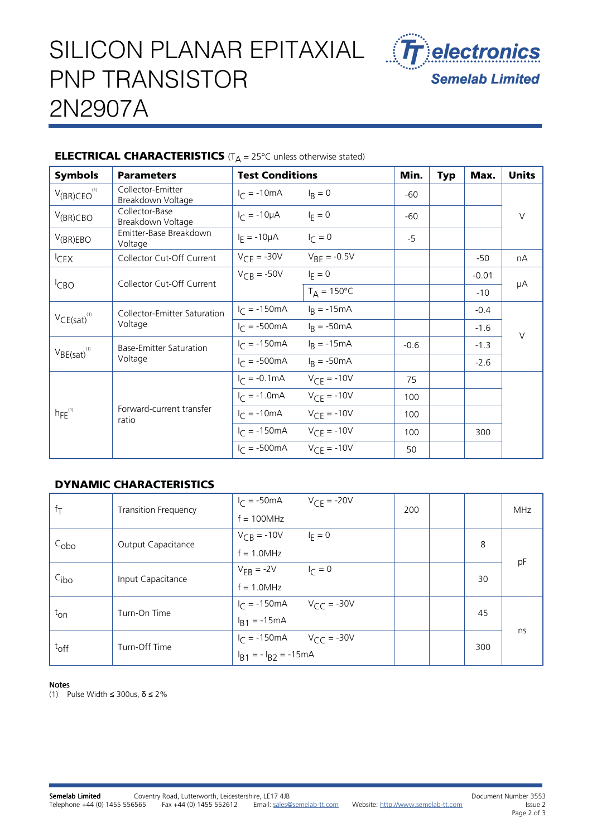# SILICON PLANAR EPITAXIAL PNP TRANSISTOR 2N2907A



### **ELECTRICAL CHARACTERISTICS** ( $T_A = 25^{\circ}$ C unless otherwise stated)

| <b>Symbols</b>               | <b>Parameters</b>                       | <b>Test Conditions</b>         |                      | Min.   | <b>Typ</b> | Max.    | <b>Units</b> |
|------------------------------|-----------------------------------------|--------------------------------|----------------------|--------|------------|---------|--------------|
| $V_{(BR)CEO}^{(1)}$          | Collector-Emitter<br>Breakdown Voltage  | $I_{\text{C}} = -10 \text{mA}$ | $I_R = 0$            | -60    |            |         |              |
| $V_{(BR)CBO}$                | Collector-Base<br>Breakdown Voltage     | $I_C = -10\mu A$               | $I_F = 0$            | -60    |            |         | $\vee$       |
| $V_{(BR)EBO}$                | Emitter-Base Breakdown<br>Voltage       | $I_F = -10 \mu A$              | $I_{\Gamma} = 0$     | $-5$   |            |         |              |
| ICEX                         | Collector Cut-Off Current               | $V_{CE} = -30V$                | $V_{BF} = -0.5V$     |        |            | $-50$   | nA           |
| <sup>I</sup> CBO             | Collector Cut-Off Current               | $V_{CB} = -50V$                | $I_F = 0$            |        |            | $-0.01$ | μA           |
|                              |                                         |                                | $T_A = 150^{\circ}C$ |        |            | $-10$   |              |
| $VCE(sat)^{(1)}$             | Collector-Emitter Saturation<br>Voltage | $I_{C} = -150 \text{mA}$       | $I_R = -15mA$        |        |            | $-0.4$  | $\vee$       |
|                              |                                         | $I_{C} = -500 \text{mA}$       | $IR = -50mA$         |        |            | $-1.6$  |              |
| $V_{BE(sat)}$ <sup>(1)</sup> | Base-Emitter Saturation<br>Voltage      | $I_C = -150 \text{mA}$         | $I_R = -15mA$        | $-0.6$ |            | $-1.3$  |              |
|                              |                                         | $I_{C} = -500 \text{mA}$       | $I_R = -50mA$        |        |            | $-2.6$  |              |
| $hFE^{(1)}$                  | Forward-current transfer<br>ratio       | $I_C = -0.1 \text{mA}$         | $V_{CF} = -10V$      | 75     |            |         |              |
|                              |                                         | $I_C = -1.0 \text{mA}$         | $V_{CF} = -10V$      | 100    |            |         |              |
|                              |                                         | $I_{C} = -10mA$                | $V_{CF} = -10V$      | 100    |            |         |              |
|                              |                                         | $I_{C} = -150 \text{mA}$       | $V_{CF} = -10V$      | 100    |            | 300     |              |
|                              |                                         | $I_{C} = -500 \text{mA}$       | $V_{CF} = -10V$      | 50     |            |         |              |

### DYNAMIC CHARACTERISTICS

| $ f_T$           | <b>Transition Frequency</b> | $I_{\text{C}} = -50 \text{mA}$                   | $V_{CF} = -20V$  | 200 |     |    | <b>MHz</b> |
|------------------|-----------------------------|--------------------------------------------------|------------------|-----|-----|----|------------|
|                  |                             | $f = 100 MHz$                                    |                  |     |     |    |            |
| $C_{\rm obo}$    | Output Capacitance          | $V_{CB} = -10V$                                  | $I_F = 0$        |     | 8   | pF |            |
|                  |                             | $f = 1.0$ MHz                                    |                  |     |     |    |            |
| C <sub>ibo</sub> | Input Capacitance           | $V_{FB}$ = -2V                                   | $I_{\Gamma} = 0$ |     |     | 30 |            |
|                  |                             | $f = 1.0 MHz$                                    |                  |     |     |    |            |
| $t_{\text{on}}$  | Turn-On Time                | $V_C = -150 \text{ mA}$ $V_C = -30 \text{ V}$    |                  |     |     | 45 |            |
|                  |                             | $I_{B1} = -15mA$                                 |                  |     |     |    | ns         |
| $t_{off}$        | Turn-Off Time               | $I_C = -150 \text{ mA}$ $V_{CC} = -30 \text{ V}$ |                  |     | 300 |    |            |
|                  |                             | $I_{B1} = -I_{B2} = -15mA$                       |                  |     |     |    |            |

#### Notes

(1) Pulse Width ≤ 300us, δ ≤ 2%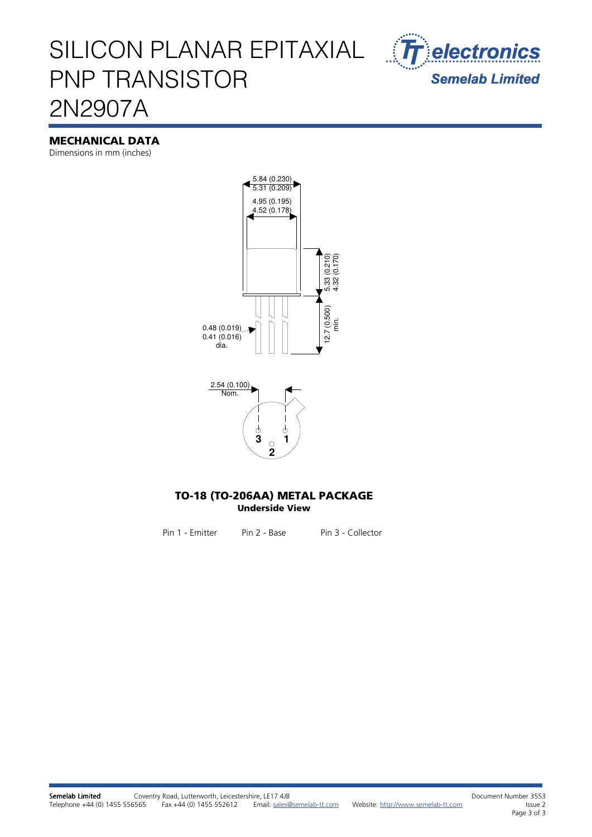## SILICON PLANAR EPITAXIAL PNP TRANSISTOR 2N2907A



#### MECHANICAL DATA

Dimensions in mm (inches)





#### TO-18 (TO-206AA) METAL PACKAGE Underside View

Pin 1 - Emitter Pin 2 - Base Pin 3 - Collector